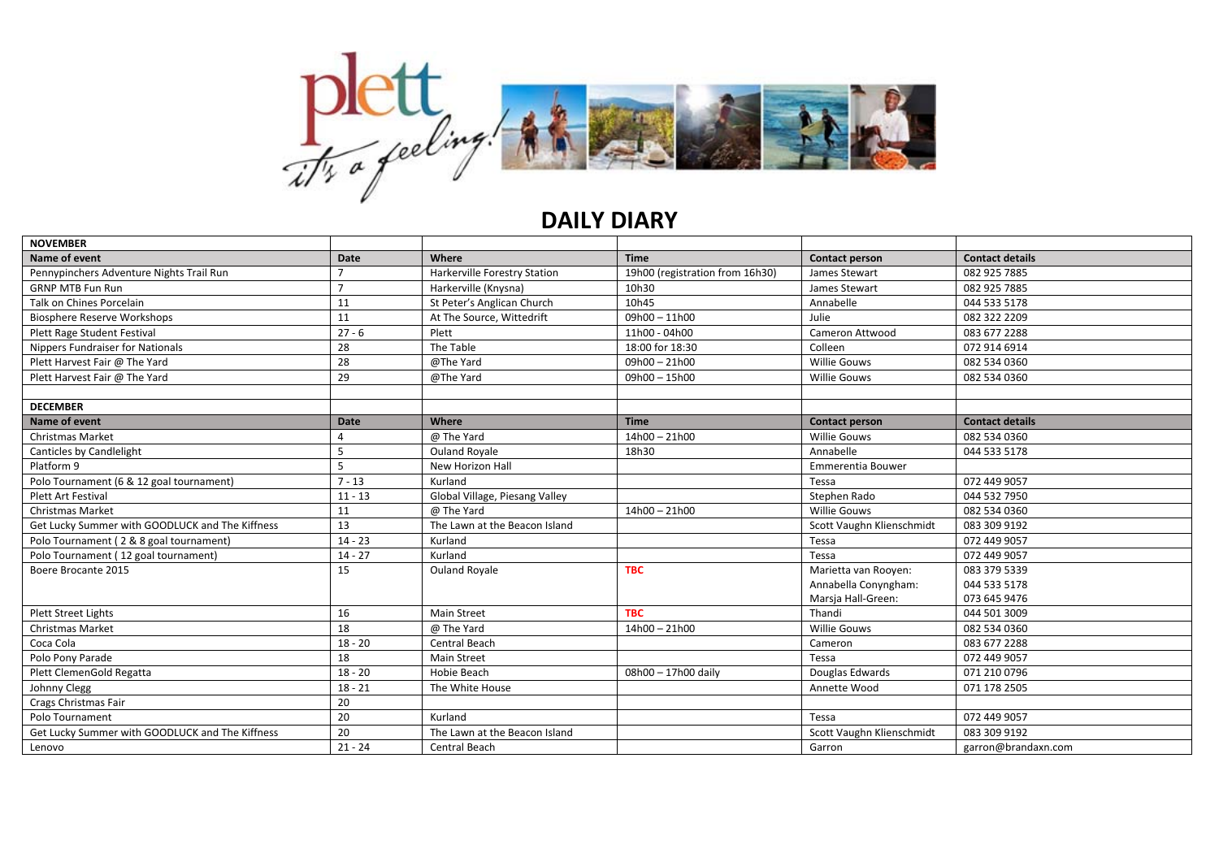

## **DAILY DIARY**

| <b>NOVEMBER</b>                                 |                |                                |                                 |                           |                        |
|-------------------------------------------------|----------------|--------------------------------|---------------------------------|---------------------------|------------------------|
| Name of event                                   | Date           | Where                          | <b>Time</b>                     | Contact person            | <b>Contact details</b> |
| Pennypinchers Adventure Nights Trail Run        | $\overline{ }$ | Harkerville Forestry Station   | 19h00 (registration from 16h30) | James Stewart             | 082 925 7885           |
| <b>GRNP MTB Fun Run</b>                         | $\overline{7}$ | Harkerville (Knysna)           | 10h30                           | James Stewart             | 082 925 7885           |
| Talk on Chines Porcelain                        | 11             | St Peter's Anglican Church     | 10h45                           | Annabelle                 | 044 533 5178           |
| <b>Biosphere Reserve Workshops</b>              | 11             | At The Source, Wittedrift      | $09h00 - 11h00$                 | Julie                     | 082 322 2209           |
| Plett Rage Student Festival                     | $27 - 6$       | Plett                          | 11h00 - 04h00                   | Cameron Attwood           | 083 677 2288           |
| <b>Nippers Fundraiser for Nationals</b>         | 28             | The Table                      | 18:00 for 18:30                 | Colleen                   | 072 914 6914           |
| Plett Harvest Fair @ The Yard                   | 28             | @The Yard                      | $09h00 - 21h00$                 | <b>Willie Gouws</b>       | 082 534 0360           |
| Plett Harvest Fair @ The Yard                   | 29             | @The Yard                      | 09h00 - 15h00                   | <b>Willie Gouws</b>       | 082 534 0360           |
|                                                 |                |                                |                                 |                           |                        |
| <b>DECEMBER</b>                                 |                |                                |                                 |                           |                        |
| Name of event                                   | Date           | Where                          | <b>Time</b>                     | <b>Contact person</b>     | <b>Contact details</b> |
| <b>Christmas Market</b>                         |                | @ The Yard                     | $14h00 - 21h00$                 | <b>Willie Gouws</b>       | 082 534 0360           |
| Canticles by Candlelight                        | 5              | <b>Ouland Royale</b>           | 18h30                           | Annabelle                 | 044 533 5178           |
| Platform 9                                      | 5              | New Horizon Hall               |                                 | Emmerentia Bouwer         |                        |
| Polo Tournament (6 & 12 goal tournament)        | $7 - 13$       | Kurland                        |                                 | Tessa                     | 072 449 9057           |
| Plett Art Festival                              | $11 - 13$      | Global Village, Piesang Valley |                                 | Stephen Rado              | 044 532 7950           |
| <b>Christmas Market</b>                         | 11             | @ The Yard                     | $14h00 - 21h00$                 | <b>Willie Gouws</b>       | 082 534 0360           |
| Get Lucky Summer with GOODLUCK and The Kiffness | 13             | The Lawn at the Beacon Island  |                                 | Scott Vaughn Klienschmidt | 083 309 9192           |
| Polo Tournament (2 & 8 goal tournament)         | $14 - 23$      | Kurland                        |                                 | Tessa                     | 072 449 9057           |
| Polo Tournament (12 goal tournament)            | $14 - 27$      | Kurland                        |                                 | Tessa                     | 072 449 9057           |
| Boere Brocante 2015                             | 15             | <b>Ouland Royale</b>           | <b>TBC</b>                      | Marietta van Rooyen:      | 083 379 5339           |
|                                                 |                |                                |                                 | Annabella Conyngham:      | 044 533 5178           |
|                                                 |                |                                |                                 | Marsja Hall-Green:        | 073 645 9476           |
| <b>Plett Street Lights</b>                      | 16             | <b>Main Street</b>             | <b>TBC</b>                      | Thandi                    | 044 501 3009           |
| <b>Christmas Market</b>                         | 18             | @ The Yard                     | $14h00 - 21h00$                 | <b>Willie Gouws</b>       | 082 534 0360           |
| Coca Cola                                       | $18 - 20$      | Central Beach                  |                                 | Cameron                   | 083 677 2288           |
| Polo Pony Parade                                | 18             | <b>Main Street</b>             |                                 | Tessa                     | 072 449 9057           |
| Plett ClemenGold Regatta                        | $18 - 20$      | <b>Hobie Beach</b>             | 08h00 - 17h00 daily             | Douglas Edwards           | 071 210 0796           |
| Johnny Clegg                                    | $18 - 21$      | The White House                |                                 | Annette Wood              | 071 178 2505           |
| Crags Christmas Fair                            | 20             |                                |                                 |                           |                        |
| Polo Tournament                                 | 20             | Kurland                        |                                 | Tessa                     | 072 449 9057           |
| Get Lucky Summer with GOODLUCK and The Kiffness | 20             | The Lawn at the Beacon Island  |                                 | Scott Vaughn Klienschmidt | 083 309 9192           |
| Lenovo                                          | $21 - 24$      | Central Beach                  |                                 | Garron                    | garron@brandaxn.com    |